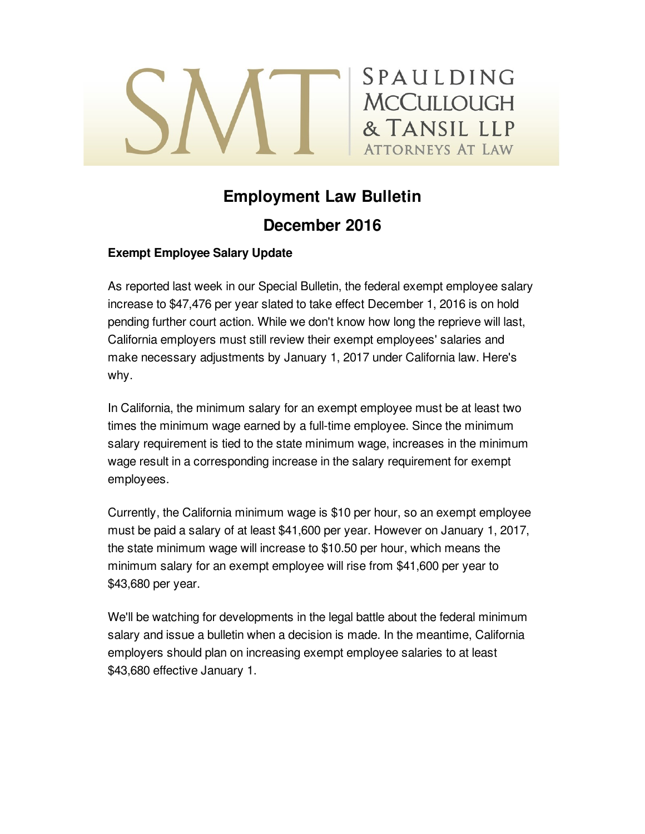# SPAULDING **MCCULLOUGH** & TANSIL LLP **ATTORNEYS AT LAW**

## **Employment Law Bulletin December 2016**

### **Exempt Employee Salary Update**

As reported last week in our Special Bulletin, the federal exempt employee salary increase to \$47,476 per year slated to take effect December 1, 2016 is on hold pending further court action. While we don't know how long the reprieve will last, California employers must still review their exempt employees' salaries and make necessary adjustments by January 1, 2017 under California law. Here's why.

In California, the minimum salary for an exempt employee must be at least two times the minimum wage earned by a full-time employee. Since the minimum salary requirement is tied to the state minimum wage, increases in the minimum wage result in a corresponding increase in the salary requirement for exempt employees.

Currently, the California minimum wage is \$10 per hour, so an exempt employee must be paid a salary of at least \$41,600 per year. However on January 1, 2017, the state minimum wage will increase to \$10.50 per hour, which means the minimum salary for an exempt employee will rise from \$41,600 per year to \$43,680 per year.

We'll be watching for developments in the legal battle about the federal minimum salary and issue a bulletin when a decision is made. In the meantime, California employers should plan on increasing exempt employee salaries to at least \$43,680 effective January 1.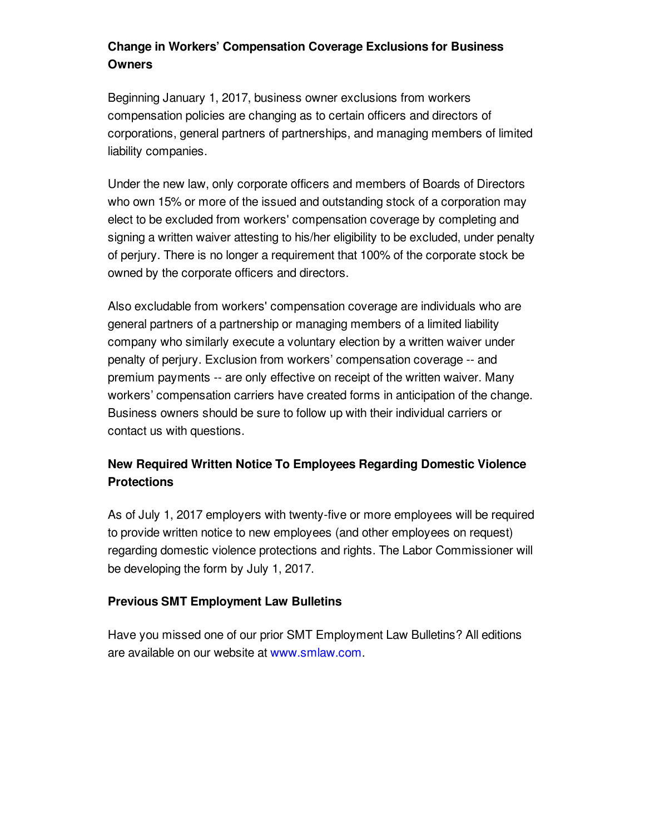## **Change in Workers' Compensation Coverage Exclusions for Business Owners**

Beginning January 1, 2017, business owner exclusions from workers compensation policies are changing as to certain officers and directors of corporations, general partners of partnerships, and managing members of limited liability companies.

Under the new law, only corporate officers and members of Boards of Directors who own 15% or more of the issued and outstanding stock of a corporation may elect to be excluded from workers' compensation coverage by completing and signing a written waiver attesting to his/her eligibility to be excluded, under penalty of perjury. There is no longer a requirement that 100% of the corporate stock be owned by the corporate officers and directors.

Also excludable from workers' compensation coverage are individuals who are general partners of a partnership or managing members of a limited liability company who similarly execute a voluntary election by a written waiver under penalty of perjury. Exclusion from workers' compensation coverage -- and premium payments -- are only effective on receipt of the written waiver. Many workers' compensation carriers have created forms in anticipation of the change. Business owners should be sure to follow up with their individual carriers or contact us with questions.

## **New Required Written Notice To Employees Regarding Domestic Violence Protections**

As of July 1, 2017 employers with twenty-five or more employees will be required to provide written notice to new employees (and other employees on request) regarding domestic violence protections and rights. The Labor Commissioner will be developing the form by July 1, 2017.

#### **Previous SMT Employment Law Bulletins**

Have you missed one of our prior SMT Employment Law Bulletins? All editions are available on our website at [www.smlaw.com](http://www.smlaw.com/publications#labor-%26_employment).